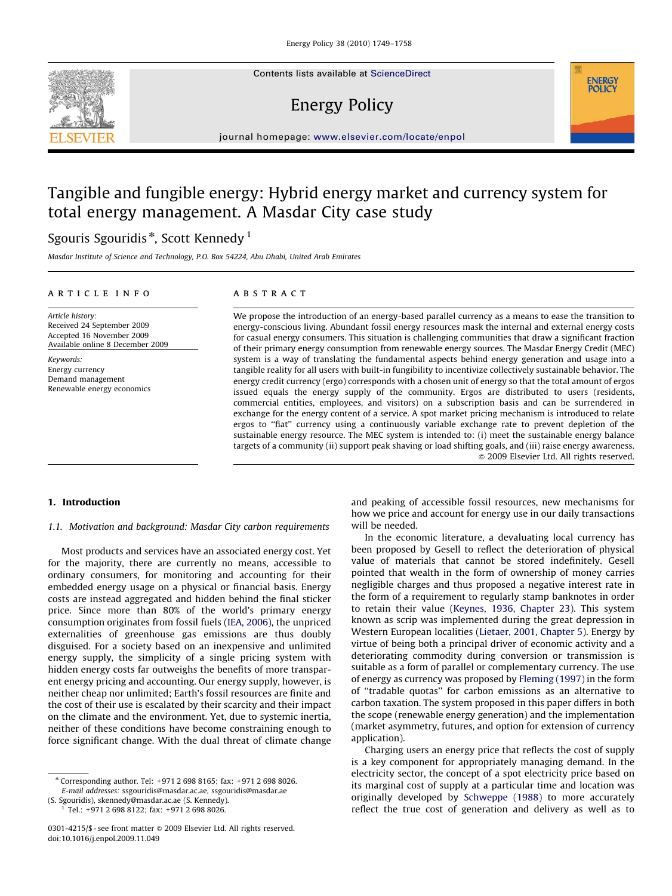Contents lists available at ScienceDirect

# Energy Policy



# Tangible and fungible energy: Hybrid energy market and currency system for total energy management. A Masdar City case study

## Sgouris Sgouridis<sup>\*</sup>, Scott Kennedy <sup>1</sup>

Masdar Institute of Science and Technology, P.O. Box 54224, Abu Dhabi, United Arab Emirates

#### article info

Article history: Received 24 September 2009 Accepted 16 November 2009 Available online 8 December 2009

Keywords: Energy currency Demand management Renewable energy economics

## ABSTRACT

We propose the introduction of an energy-based parallel currency as a means to ease the transition to energy-conscious living. Abundant fossil energy resources mask the internal and external energy costs for casual energy consumers. This situation is challenging communities that draw a significant fraction of their primary energy consumption from renewable energy sources. The Masdar Energy Credit (MEC) system is a way of translating the fundamental aspects behind energy generation and usage into a tangible reality for all users with built-in fungibility to incentivize collectively sustainable behavior. The energy credit currency (ergo) corresponds with a chosen unit of energy so that the total amount of ergos issued equals the energy supply of the community. Ergos are distributed to users (residents, commercial entities, employees, and visitors) on a subscription basis and can be surrendered in exchange for the energy content of a service. A spot market pricing mechanism is introduced to relate ergos to ''fiat'' currency using a continuously variable exchange rate to prevent depletion of the sustainable energy resource. The MEC system is intended to: (i) meet the sustainable energy balance targets of a community (ii) support peak shaving or load shifting goals, and (iii) raise energy awareness.  $\circ$  2009 Elsevier Ltd. All rights reserved.

### 1. Introduction

#### 1.1. Motivation and background: Masdar City carbon requirements

Most products and services have an associated energy cost. Yet for the majority, there are currently no means, accessible to ordinary consumers, for monitoring and accounting for their embedded energy usage on a physical or financial basis. Energy costs are instead aggregated and hidden behind the final sticker price. Since more than 80% of the world's primary energy consumption originates from fossil fuels ([IEA, 2006\)](#page--1-0), the unpriced externalities of greenhouse gas emissions are thus doubly disguised. For a society based on an inexpensive and unlimited energy supply, the simplicity of a single pricing system with hidden energy costs far outweighs the benefits of more transparent energy pricing and accounting. Our energy supply, however, is neither cheap nor unlimited; Earth's fossil resources are finite and the cost of their use is escalated by their scarcity and their impact on the climate and the environment. Yet, due to systemic inertia, neither of these conditions have become constraining enough to force significant change. With the dual threat of climate change

[\(S. Sgouridis\)](mailto:skennedy@masdar.ac.ae), [skennedy@masdar.ac.ae \(S. Kennedy\).](mailto:skennedy@masdar.ac.ae)

<sup>1</sup> Tel.: +971 2 698 8122; fax: +971 2 698 8026.

and peaking of accessible fossil resources, new mechanisms for how we price and account for energy use in our daily transactions will be needed.

**ENERGY POLICY** 

In the economic literature, a devaluating local currency has been proposed by Gesell to reflect the deterioration of physical value of materials that cannot be stored indefinitely. Gesell pointed that wealth in the form of ownership of money carries negligible charges and thus proposed a negative interest rate in the form of a requirement to regularly stamp banknotes in order to retain their value ([Keynes, 1936, Chapter 23\)](#page--1-0). This system known as scrip was implemented during the great depression in Western European localities [\(Lietaer, 2001, Chapter 5\)](#page--1-0). Energy by virtue of being both a principal driver of economic activity and a deteriorating commodity during conversion or transmission is suitable as a form of parallel or complementary currency. The use of energy as currency was proposed by [Fleming \(1997\)](#page--1-0) in the form of ''tradable quotas'' for carbon emissions as an alternative to carbon taxation. The system proposed in this paper differs in both the scope (renewable energy generation) and the implementation (market asymmetry, futures, and option for extension of currency application).

Charging users an energy price that reflects the cost of supply is a key component for appropriately managing demand. In the electricity sector, the concept of a spot electricity price based on its marginal cost of supply at a particular time and location was originally developed by [Schweppe \(1988\)](#page--1-0) to more accurately reflect the true cost of generation and delivery as well as to



<sup>n</sup> Corresponding author. Tel: +971 2 698 8165; fax: +971 2 698 8026. E-mail addresses: [ssgouridis@masdar.ac.ae,](mailto:ssgouridis@masdar.ac.ae) [ssgouridis@masdar.ae](mailto:skennedy@masdar.ac.ae)

<sup>0301-4215/\$ -</sup> see front matter @ 2009 Elsevier Ltd. All rights reserved. doi:[10.1016/j.enpol.2009.11.049](dx.doi.org/10.1016/j.enpol.2009.11.049)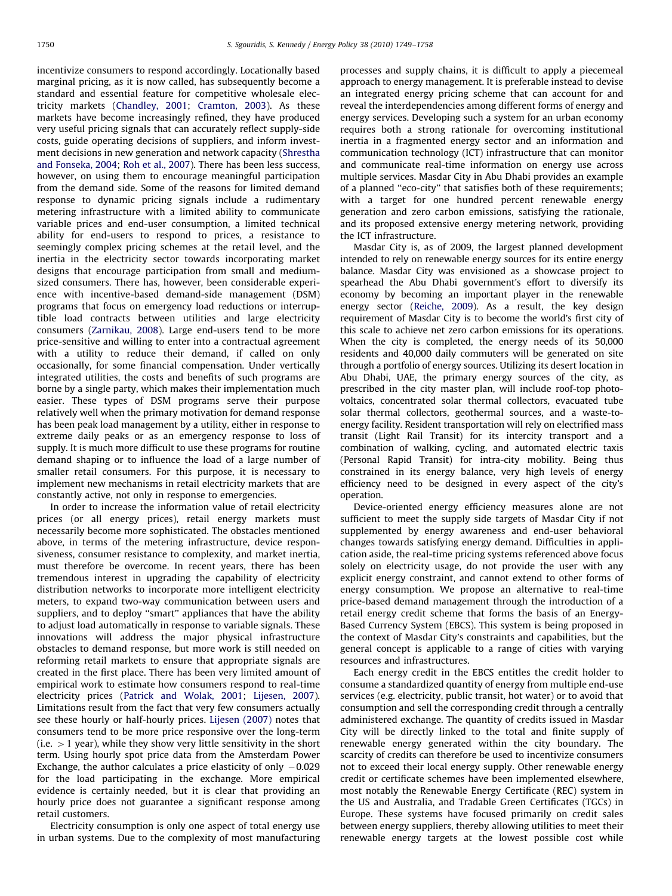incentivize consumers to respond accordingly. Locationally based marginal pricing, as it is now called, has subsequently become a standard and essential feature for competitive wholesale electricity markets ([Chandley, 2001](#page--1-0); [Cramton, 2003](#page--1-0)). As these markets have become increasingly refined, they have produced very useful pricing signals that can accurately reflect supply-side costs, guide operating decisions of suppliers, and inform investment decisions in new generation and network capacity ([Shrestha](#page--1-0) [and Fonseka, 2004;](#page--1-0) [Roh et al., 2007\)](#page--1-0). There has been less success, however, on using them to encourage meaningful participation from the demand side. Some of the reasons for limited demand response to dynamic pricing signals include a rudimentary metering infrastructure with a limited ability to communicate variable prices and end-user consumption, a limited technical ability for end-users to respond to prices, a resistance to seemingly complex pricing schemes at the retail level, and the inertia in the electricity sector towards incorporating market designs that encourage participation from small and mediumsized consumers. There has, however, been considerable experience with incentive-based demand-side management (DSM) programs that focus on emergency load reductions or interruptible load contracts between utilities and large electricity consumers [\(Zarnikau, 2008\)](#page--1-0). Large end-users tend to be more price-sensitive and willing to enter into a contractual agreement with a utility to reduce their demand, if called on only occasionally, for some financial compensation. Under vertically integrated utilities, the costs and benefits of such programs are borne by a single party, which makes their implementation much easier. These types of DSM programs serve their purpose relatively well when the primary motivation for demand response has been peak load management by a utility, either in response to extreme daily peaks or as an emergency response to loss of supply. It is much more difficult to use these programs for routine demand shaping or to influence the load of a large number of smaller retail consumers. For this purpose, it is necessary to implement new mechanisms in retail electricity markets that are constantly active, not only in response to emergencies.

In order to increase the information value of retail electricity prices (or all energy prices), retail energy markets must necessarily become more sophisticated. The obstacles mentioned above, in terms of the metering infrastructure, device responsiveness, consumer resistance to complexity, and market inertia, must therefore be overcome. In recent years, there has been tremendous interest in upgrading the capability of electricity distribution networks to incorporate more intelligent electricity meters, to expand two-way communication between users and suppliers, and to deploy ''smart'' appliances that have the ability to adjust load automatically in response to variable signals. These innovations will address the major physical infrastructure obstacles to demand response, but more work is still needed on reforming retail markets to ensure that appropriate signals are created in the first place. There has been very limited amount of empirical work to estimate how consumers respond to real-time electricity prices ([Patrick and Wolak, 2001](#page--1-0); [Lijesen, 2007\)](#page--1-0). Limitations result from the fact that very few consumers actually see these hourly or half-hourly prices. [Lijesen \(2007\)](#page--1-0) notes that consumers tend to be more price responsive over the long-term  $(i.e. > 1$  year), while they show very little sensitivity in the short term. Using hourly spot price data from the Amsterdam Power Exchange, the author calculates a price elasticity of only  $-0.029$ for the load participating in the exchange. More empirical evidence is certainly needed, but it is clear that providing an hourly price does not guarantee a significant response among retail customers.

Electricity consumption is only one aspect of total energy use in urban systems. Due to the complexity of most manufacturing

processes and supply chains, it is difficult to apply a piecemeal approach to energy management. It is preferable instead to devise an integrated energy pricing scheme that can account for and reveal the interdependencies among different forms of energy and energy services. Developing such a system for an urban economy requires both a strong rationale for overcoming institutional inertia in a fragmented energy sector and an information and communication technology (ICT) infrastructure that can monitor and communicate real-time information on energy use across multiple services. Masdar City in Abu Dhabi provides an example of a planned ''eco-city'' that satisfies both of these requirements; with a target for one hundred percent renewable energy generation and zero carbon emissions, satisfying the rationale, and its proposed extensive energy metering network, providing the ICT infrastructure.

Masdar City is, as of 2009, the largest planned development intended to rely on renewable energy sources for its entire energy balance. Masdar City was envisioned as a showcase project to spearhead the Abu Dhabi government's effort to diversify its economy by becoming an important player in the renewable energy sector [\(Reiche, 2009](#page--1-0)). As a result, the key design requirement of Masdar City is to become the world's first city of this scale to achieve net zero carbon emissions for its operations. When the city is completed, the energy needs of its 50,000 residents and 40,000 daily commuters will be generated on site through a portfolio of energy sources. Utilizing its desert location in Abu Dhabi, UAE, the primary energy sources of the city, as prescribed in the city master plan, will include roof-top photovoltaics, concentrated solar thermal collectors, evacuated tube solar thermal collectors, geothermal sources, and a waste-toenergy facility. Resident transportation will rely on electrified mass transit (Light Rail Transit) for its intercity transport and a combination of walking, cycling, and automated electric taxis (Personal Rapid Transit) for intra-city mobility. Being thus constrained in its energy balance, very high levels of energy efficiency need to be designed in every aspect of the city's operation.

Device-oriented energy efficiency measures alone are not sufficient to meet the supply side targets of Masdar City if not supplemented by energy awareness and end-user behavioral changes towards satisfying energy demand. Difficulties in application aside, the real-time pricing systems referenced above focus solely on electricity usage, do not provide the user with any explicit energy constraint, and cannot extend to other forms of energy consumption. We propose an alternative to real-time price-based demand management through the introduction of a retail energy credit scheme that forms the basis of an Energy-Based Currency System (EBCS). This system is being proposed in the context of Masdar City's constraints and capabilities, but the general concept is applicable to a range of cities with varying resources and infrastructures.

Each energy credit in the EBCS entitles the credit holder to consume a standardized quantity of energy from multiple end-use services (e.g. electricity, public transit, hot water) or to avoid that consumption and sell the corresponding credit through a centrally administered exchange. The quantity of credits issued in Masdar City will be directly linked to the total and finite supply of renewable energy generated within the city boundary. The scarcity of credits can therefore be used to incentivize consumers not to exceed their local energy supply. Other renewable energy credit or certificate schemes have been implemented elsewhere, most notably the Renewable Energy Certificate (REC) system in the US and Australia, and Tradable Green Certificates (TGCs) in Europe. These systems have focused primarily on credit sales between energy suppliers, thereby allowing utilities to meet their renewable energy targets at the lowest possible cost while